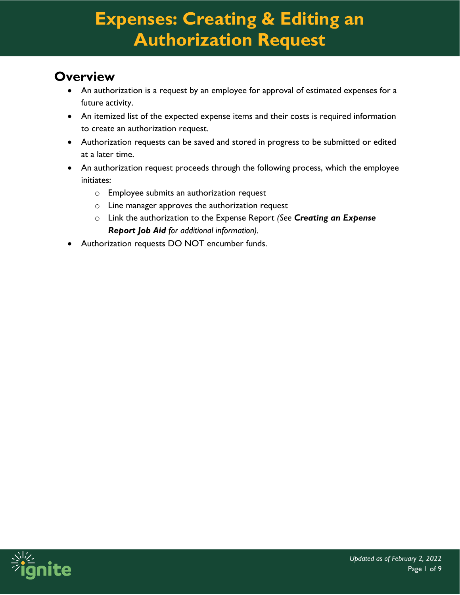### **Overview**

- An authorization is a request by an employee for approval of estimated expenses for a future activity.
- An itemized list of the expected expense items and their costs is required information to create an authorization request.
- Authorization requests can be saved and stored in progress to be submitted or edited at a later time.
- An authorization request proceeds through the following process, which the employee initiates:
	- o Employee submits an authorization request
	- $\circ$  Line manager approves the authorization request
	- o Link the authorization to the Expense Report *(See Creating an Expense Report Job Aid for additional information).*
- Authorization requests DO NOT encumber funds.

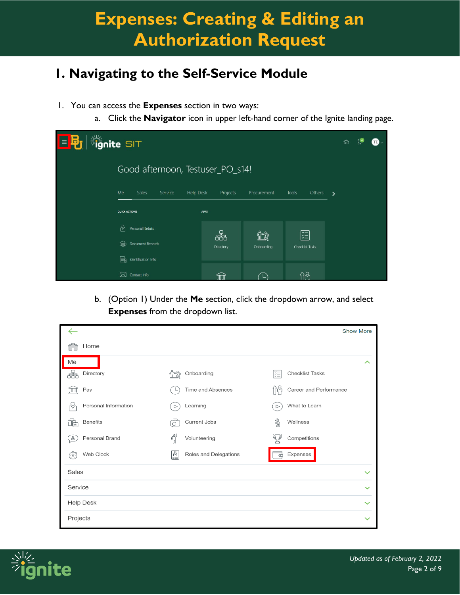### **1. Navigating to the Self-Service Module**

- 1. You can access the **Expenses** section in two ways:
	- a. Click the **Navigator** icon in upper left-hand corner of the Ignite landing page.

| <b>Sule SIT</b><br>目的 | n                                          |                |                   |                                   |               |
|-----------------------|--------------------------------------------|----------------|-------------------|-----------------------------------|---------------|
|                       | Good afternoon, Testuser_PO_s14!           |                |                   |                                   |               |
|                       | Me<br>Sales<br>Service<br><b>Help Desk</b> | Projects       | Procurement       | <b>Tools</b><br>Others            | $\rightarrow$ |
|                       | <b>QUICK ACTIONS</b>                       | <b>APPS</b>    |                   |                                   |               |
|                       | b,<br>Personal Details                     |                |                   |                                   |               |
|                       | <b>Document Records</b>                    | 볶<br>Directory | íîî<br>Onboarding | ∣ॅन्ड<br>Checklist Tasks          |               |
|                       | ER.<br>Identification Info                 |                |                   |                                   |               |
|                       | Contact Info<br>$\boxtimes$                | Ш              |                   | $\mathfrak{f}$ ဂို $\mathfrak{S}$ |               |

b. (Option 1) Under the **Me** section, click the dropdown arrow, and select **Expenses** from the dropdown list.

|                      |                                              | <b>Show More</b>                  |
|----------------------|----------------------------------------------|-----------------------------------|
| Home                 |                                              |                                   |
| Me                   |                                              | ᄉ                                 |
| å<br>Directory       | Onboarding                                   | 距<br><b>Checklist Tasks</b>       |
| Pay<br>ŢШŢ           | Time and Absences                            | 'n,<br>Career and Performance     |
| Personal Information | Learning<br>$\triangleright$                 | What to Learn<br>$\triangleright$ |
| <b>Benefits</b>      | Current Jobs<br>$\circ$                      | ℁<br>Wellness                     |
| Personal Brand<br>မြ | $\int_{\mathbb{R}}^{\infty}$<br>Volunteering | Competitions                      |
| Web Clock<br>E6'     | 喧<br>Roles and Delegations                   | Expenses<br>๔                     |
| Sales                |                                              | $\checkmark$                      |
| Service              |                                              | $\checkmark$                      |
| <b>Help Desk</b>     |                                              | $\checkmark$                      |
| Projects             |                                              | $\checkmark$                      |

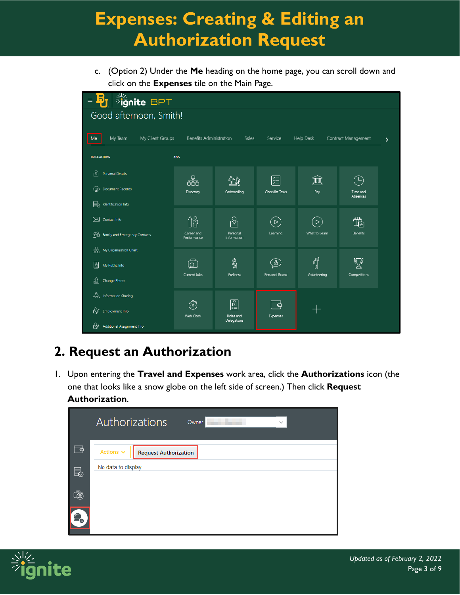c. (Option 2) Under the **Me** heading on the home page, you can scroll down and click on the **Expenses** tile on the Main Page.



### **2. Request an Authorization**

1. Upon entering the **Travel and Expenses** work area, click the **Authorizations** icon (the one that looks like a snow globe on the left side of screen.) Then click **Request Authorization**.



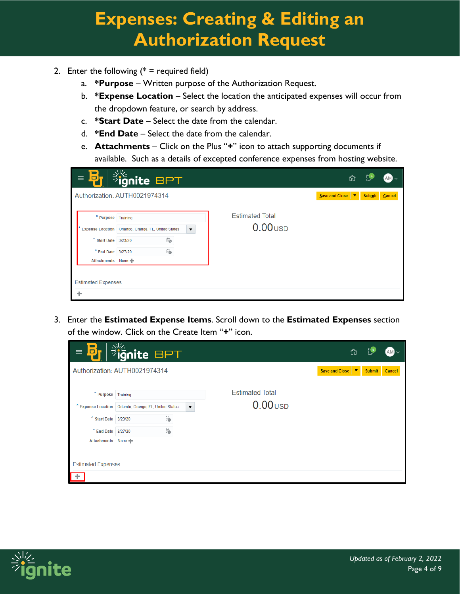- 2. Enter the following  $(* = required field)$ 
	- a. **\*Purpose** Written purpose of the Authorization Request.
	- b. **\*Expense Location**  Select the location the anticipated expenses will occur from the dropdown feature, or search by address.
	- c. **\*Start Date** Select the date from the calendar.
	- d. **\*End Date** Select the date from the calendar.
	- e. **Attachments** Click on the Plus "**+**" icon to attach supporting documents if available. Such as a details of excepted conference expenses from hosting website.

| $\Box$<br>$\equiv$        | $\frac{1}{2}$ ignite BPT                                                        |                        | ⋒                                               |
|---------------------------|---------------------------------------------------------------------------------|------------------------|-------------------------------------------------|
|                           | Authorization: AUTH0021974314                                                   |                        | Save and Close<br><b>Submit</b><br>∣▼<br>Cancel |
| * Purpose Training        |                                                                                 | <b>Estimated Total</b> |                                                 |
|                           | $\blacktriangledown$<br>* Expense Location   Orlando, Orange, FL, United States | $0.00$ USD             |                                                 |
| * Start Date 3/23/20      | Ë                                                                               |                        |                                                 |
| * End Date 3/27/20        | Ïò                                                                              |                        |                                                 |
| Attachments None          |                                                                                 |                        |                                                 |
|                           |                                                                                 |                        |                                                 |
| <b>Estimated Expenses</b> |                                                                                 |                        |                                                 |
|                           |                                                                                 |                        |                                                 |

3. Enter the **Estimated Expense Items**. Scroll down to the **Estimated Expenses** section of the window. Click on the Create Item "**+**" icon.

| ō<br>$\equiv$             | <b>Suge BPT</b>                                                                 |                        | ñ                   |               |        |  |
|---------------------------|---------------------------------------------------------------------------------|------------------------|---------------------|---------------|--------|--|
|                           | Authorization: AUTH0021974314                                                   |                        | Save and Close<br>▼ | <b>Submit</b> | Cancel |  |
| * Purpose Training        |                                                                                 | <b>Estimated Total</b> |                     |               |        |  |
|                           | * Expense Location   Orlando, Orange, FL, United States<br>$\blacktriangledown$ | $0.00$ USD             |                     |               |        |  |
| * Start Date 3/23/20      | Ë                                                                               |                        |                     |               |        |  |
| * End Date 3/27/20        | Ë                                                                               |                        |                     |               |        |  |
| Attachments None          |                                                                                 |                        |                     |               |        |  |
|                           |                                                                                 |                        |                     |               |        |  |
| <b>Estimated Expenses</b> |                                                                                 |                        |                     |               |        |  |
|                           |                                                                                 |                        |                     |               |        |  |

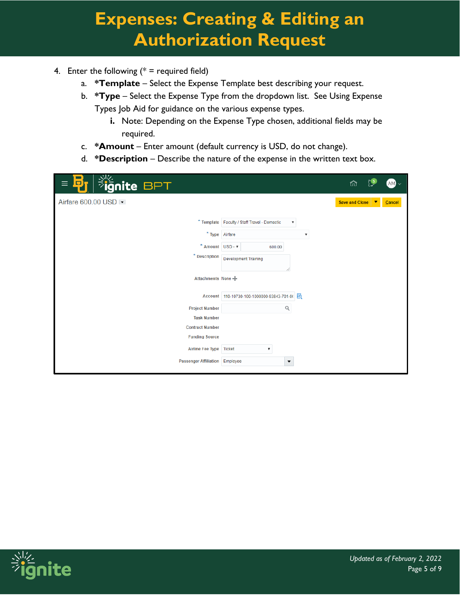- 4. Enter the following  $(* =$  required field)
	- a. **\*Template** Select the Expense Template best describing your request.
	- b. **\*Type** Select the Expense Type from the dropdown list. See Using Expense Types Job Aid for guidance on the various expense types.
		- **i.** Note: Depending on the Expense Type chosen, additional fields may be required.
	- c. **\*Amount** Enter amount (default currency is USD, do not change).
	- d. **\*Description** Describe the nature of the expense in the written text box.

| <b>Fignite BPT</b><br>D<br>≡                                                              | ĥ<br>$AM$ $\sim$                                                                                                          |
|-------------------------------------------------------------------------------------------|---------------------------------------------------------------------------------------------------------------------------|
| Airfare 600.00 USD                                                                        | Save and Close<br>Cancel<br>$\overline{\mathbf{v}}$                                                                       |
| * Type Airfare<br>$^*$ Amount USD - $\mathbf{v}$<br>$*$ Description<br>Attachments None - | * Template   Faculty / Staff Travel - Domestic<br>$\boldsymbol{\mathrm{v}}$<br>▼<br>600.00<br><b>Development Training</b> |
|                                                                                           | Account 110-10730-100-1000000-93843-701-0( 图                                                                              |
| <b>Project Number</b>                                                                     | Q                                                                                                                         |
| <b>Task Number</b><br><b>Contract Number</b>                                              |                                                                                                                           |
| <b>Funding Source</b>                                                                     |                                                                                                                           |
| <b>Airline Fee Type</b>                                                                   | <b>Ticket</b><br>$\boldsymbol{\mathrm{v}}$                                                                                |
| <b>Passenger Affiliation Employee</b>                                                     | $\overline{\phantom{a}}$                                                                                                  |
|                                                                                           |                                                                                                                           |

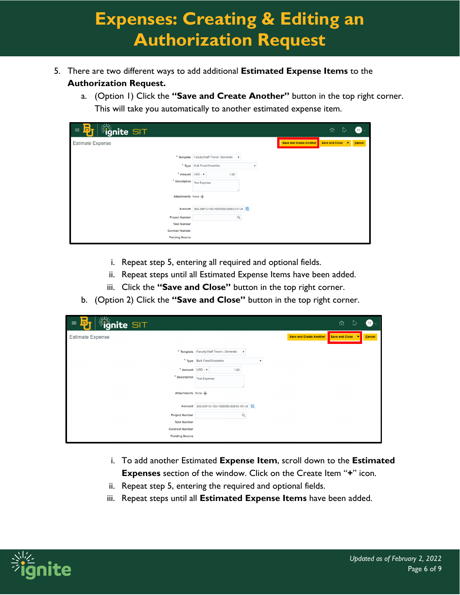- 5. There are two different ways to add additional **Estimated Expense Items** to the **Authorization Request.**
	- a. (Option 1) Click the **"Save and Create Another"** button in the top right corner. This will take you automatically to another estimated expense item.

| <b>Fignite SIT</b><br>В,<br>$\equiv$                                      |                                                                                                                    | ⋒<br>œ<br>⊵              |
|---------------------------------------------------------------------------|--------------------------------------------------------------------------------------------------------------------|--------------------------|
| <b>Estimate Expense</b>                                                   | <b>Save and Create Another</b>                                                                                     | Save and Close<br>Cancel |
| * Amount USD - v<br>$*$ Description $\overline{\phantom{a}}$ Test Expense | * Template Faculty/Staff Travel - Domestic<br>$\boldsymbol{\mathrm{v}}$<br>* Type Bulk Food/Groceries<br>۷<br>1.00 |                          |
| Attachments None                                                          |                                                                                                                    |                          |
|                                                                           | Account 300-30410-100-1000000-93843-101-0                                                                          |                          |
| <b>Project Number</b>                                                     | Q                                                                                                                  |                          |
| <b>Task Number</b>                                                        |                                                                                                                    |                          |
| <b>Contract Number</b>                                                    |                                                                                                                    |                          |
| <b>Funding Source</b>                                                     |                                                                                                                    |                          |

- i. Repeat step 5, entering all required and optional fields.
- ii. Repeat steps until all Estimated Expense Items have been added.
- iii. Click the **"Save and Close"** button in the top right corner.
- b. (Option 2) Click the **"Save and Close"** button in the top right corner.

| <b>Suggest SIT</b><br>Б<br>$\equiv$ |                                                                         |                                | ⋒<br>▷<br>TB $\scriptstyle\sim$                      |
|-------------------------------------|-------------------------------------------------------------------------|--------------------------------|------------------------------------------------------|
| <b>Estimate Expense</b>             |                                                                         | <b>Save and Create Another</b> | Save and Close<br>$\overline{\phantom{a}}$<br>Cancel |
|                                     |                                                                         |                                |                                                      |
|                                     | * Template Faculty/Staff Travel - Domestic<br>$\boldsymbol{\mathrm{v}}$ |                                |                                                      |
|                                     | * Type Bulk Food/Groceries<br>$\boldsymbol{\mathrm{v}}$                 |                                |                                                      |
| * Amount USD - v                    | 1.00                                                                    |                                |                                                      |
| * Description                       | <b>Test Expense</b>                                                     |                                |                                                      |
|                                     |                                                                         |                                |                                                      |
| Attachments None                    |                                                                         |                                |                                                      |
|                                     | Account 300-30410-100-1000000-93843-101-0 图                             |                                |                                                      |
| <b>Project Number</b>               | Q                                                                       |                                |                                                      |
| <b>Task Number</b>                  |                                                                         |                                |                                                      |
| <b>Contract Number</b>              |                                                                         |                                |                                                      |
| <b>Funding Source</b>               |                                                                         |                                |                                                      |

- i. To add another Estimated **Expense Item**, scroll down to the **Estimated Expenses** section of the window. Click on the Create Item "**+**" icon.
- ii. Repeat step 5, entering the required and optional fields.
- iii. Repeat steps until all **Estimated Expense Items** have been added.

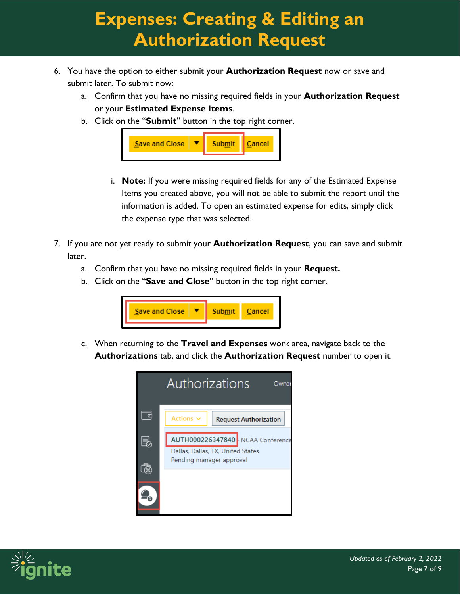- 6. You have the option to either submit your **Authorization Request** now or save and submit later. To submit now:
	- a. Confirm that you have no missing required fields in your **Authorization Request** or your **Estimated Expense Items**.
	- b. Click on the "**Submit**" button in the top right corner.



- i. **Note:** If you were missing required fields for any of the Estimated Expense Items you created above, you will not be able to submit the report until the information is added. To open an estimated expense for edits, simply click the expense type that was selected.
- 7. If you are not yet ready to submit your **Authorization Request**, you can save and submit later.
	- a. Confirm that you have no missing required fields in your **Request.**
	- b. Click on the "**Save and Close**" button in the top right corner.



c. When returning to the **Travel and Expenses** work area, navigate back to the **Authorizations** tab, and click the **Authorization Request** number to open it.



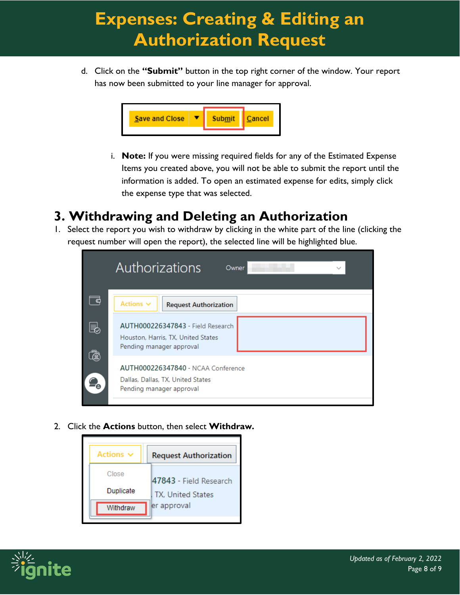d. Click on the **"Submit"** button in the top right corner of the window. Your report has now been submitted to your line manager for approval.



i. **Note:** If you were missing required fields for any of the Estimated Expense Items you created above, you will not be able to submit the report until the information is added. To open an estimated expense for edits, simply click the expense type that was selected.

#### **3. Withdrawing and Deleting an Authorization**

1. Select the report you wish to withdraw by clicking in the white part of the line (clicking the request number will open the report), the selected line will be highlighted blue.

|     | Authorizations<br>Owner<br>$\checkmark$                                                                    |
|-----|------------------------------------------------------------------------------------------------------------|
| - 0 | Actions $\vee$<br><b>Request Authorization</b>                                                             |
| e,  | AUTH000226347843 - Field Research<br>Houston, Harris, TX, United States<br>Pending manager approval        |
|     | <b>AUTH000226347840 - NCAA Conference</b><br>Dallas, Dallas, TX, United States<br>Pending manager approval |
|     |                                                                                                            |

2. Click the **Actions** button, then select **Withdraw.**

| Actions $\vee$ | <b>Request Authorization</b> |
|----------------|------------------------------|
| Close          | 47843 - Field Research       |
| Duplicate      | TX. United States            |
| Withdraw       | er approval                  |